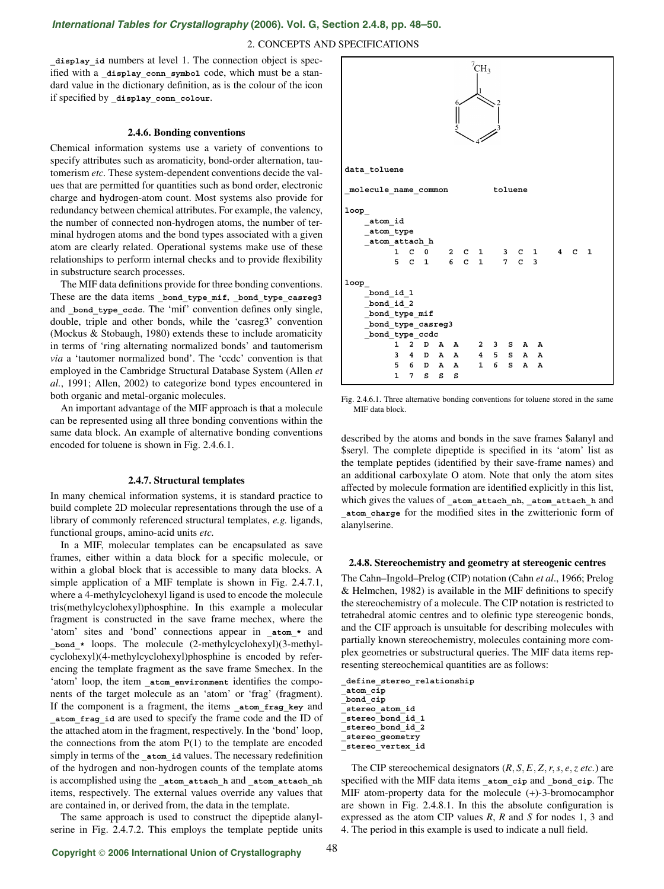# *[International Tables for Crystallography](http://it.iucr.org/Ga/ch2o4v0001/sec2o4o8/)* **(2006). Vol. G, Section 2.4.8, pp. 48–50.**

## 2. CONCEPTS AND SPECIFICATIONS

display id numbers at level 1. The connection object is specified with a display conn symbol code, which must be a standard value in the dictionary definition, as is the colour of the icon if specified by **\_display\_conn\_colour**.

## **2.4.6. Bonding conventions**

Chemical information systems use a variety of conventions to specify attributes such as aromaticity, bond-order alternation, tautomerism *etc.* These system-dependent conventions decide the values that are permitted for quantities such as bond order, electronic charge and hydrogen-atom count. Most systems also provide for redundancy between chemical attributes. For example, the valency, the number of connected non-hydrogen atoms, the number of terminal hydrogen atoms and the bond types associated with a given atom are clearly related. Operational systems make use of these relationships to perform internal checks and to provide flexibility in substructure search processes.

The MIF data definitions provide for three bonding conventions. These are the data items **\_bond\_type\_mif**, **\_bond\_type\_casreg3** and bond type ccdc. The 'mif' convention defines only single, double, triple and other bonds, while the 'casreg3' convention (Mockus & Stobaugh, 1980) extends these to include aromaticity in terms of 'ring alternating normalized bonds' and tautomerism *via* a 'tautomer normalized bond'. The 'ccdc' convention is that employed in the Cambridge Structural Database System (Allen *et al.*, 1991; Allen, 2002) to categorize bond types encountered in both organic and metal-organic molecules.

An important advantage of the MIF approach is that a molecule can be represented using all three bonding conventions within the same data block. An example of alternative bonding conventions encoded for toluene is shown in Fig. 2.4.6.1.

#### **2.4.7. Structural templates**

In many chemical information systems, it is standard practice to build complete 2D molecular representations through the use of a library of commonly referenced structural templates, *e.g.* ligands, functional groups, amino-acid units *etc.*

In a MIF, molecular templates can be encapsulated as save frames, either within a data block for a specific molecule, or within a global block that is accessible to many data blocks. A simple application of a MIF template is shown in Fig. 2.4.7.1, where a 4-methylcyclohexyl ligand is used to encode the molecule tris(methylcyclohexyl)phosphine. In this example a molecular fragment is constructed in the save frame mechex, where the 'atom' sites and 'bond' connections appear in **\_atom\_\*** and **\_bond\_\*** loops. The molecule (2-methylcyclohexyl)(3-methylcyclohexyl)(4-methylcyclohexyl)phosphine is encoded by referencing the template fragment as the save frame \$mechex. In the 'atom' loop, the item **\_atom\_environment** identifies the components of the target molecule as an 'atom' or 'frag' (fragment). If the component is a fragment, the items **\_atom\_frag\_key** and **\_atom\_frag\_id** are used to specify the frame code and the ID of the attached atom in the fragment, respectively. In the 'bond' loop, the connections from the atom  $P(1)$  to the template are encoded simply in terms of the **atom** id values. The necessary redefinition of the hydrogen and non-hydrogen counts of the template atoms is accomplished using the **\_atom\_attach\_h** and **\_atom\_attach\_nh** items, respectively. The external values override any values that are contained in, or derived from, the data in the template.

The same approach is used to construct the dipeptide alanylserine in Fig. 2.4.7.2. This employs the template peptide units



Fig. 2.4.6.1. Three alternative bonding conventions for toluene stored in the same MIF data block.

described by the atoms and bonds in the save frames \$alanyl and \$seryl. The complete dipeptide is specified in its 'atom' list as the template peptides (identified by their save-frame names) and an additional carboxylate O atom. Note that only the atom sites affected by molecule formation are identified explicitly in this list, which gives the values of atom attach nh, atom attach h and **\_atom\_charge** for the modified sites in the zwitterionic form of alanylserine.

### **2.4.8. Stereochemistry and geometry at stereogenic centres**

The Cahn–Ingold–Prelog (CIP) notation (Cahn *et al*., 1966; Prelog & Helmchen, 1982) is available in the MIF definitions to specify the stereochemistry of a molecule. The CIP notation is restricted to tetrahedral atomic centres and to olefinic type stereogenic bonds, and the CIF approach is unsuitable for describing molecules with partially known stereochemistry, molecules containing more complex geometries or substructural queries. The MIF data items representing stereochemical quantities are as follows:

**\_define\_stereo\_relationship \_atom\_cip \_bond\_cip \_stereo\_atom\_id \_stereo\_bond\_id\_1 \_stereo\_bond\_id\_2**

**\_stereo\_geometry**

**\_stereo\_vertex\_id**

The CIP stereochemical designators (*R*, *S*, *E*, *Z*,*r*,*s*, *e*,*z etc.*) are specified with the MIF data items **\_atom\_cip** and **\_bond\_cip**. The MIF atom-property data for the molecule (+)-3-bromocamphor are shown in Fig. 2.4.8.1. In this the absolute configuration is expressed as the atom CIP values *R*, *R* and *S* for nodes 1, 3 and 4. The period in this example is used to indicate a null field.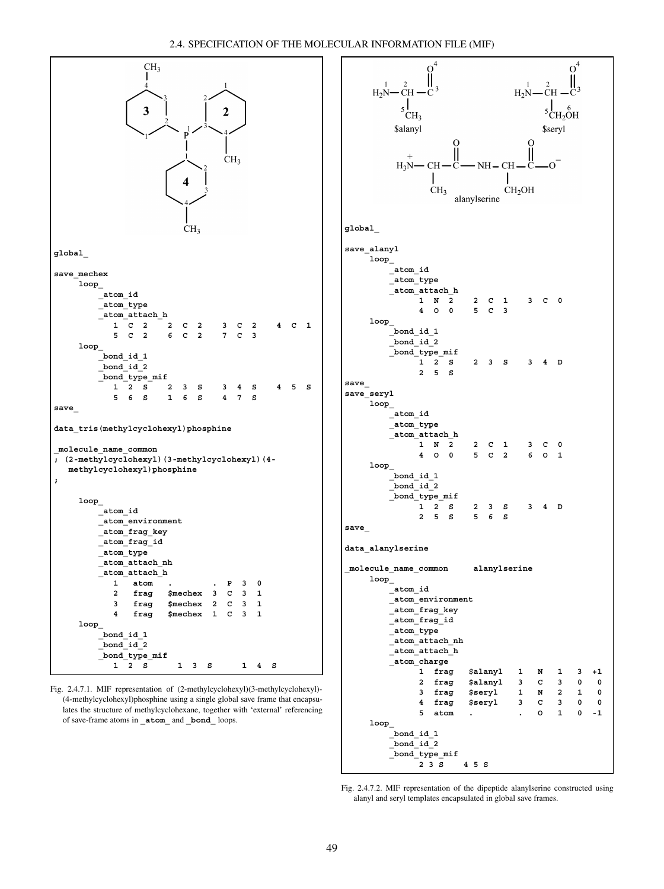

Fig. 2.4.7.1. MIF representation of (2-methylcyclohexyl)(3-methylcyclohexyl)- (4-methylcyclohexyl)phosphine using a single global save frame that encapsulates the structure of methylcyclohexane, together with 'external' referencing of save-frame atoms in **\_atom\_** and **\_bond\_** loops.



Fig. 2.4.7.2. MIF representation of the dipeptide alanylserine constructed using alanyl and seryl templates encapsulated in global save frames.